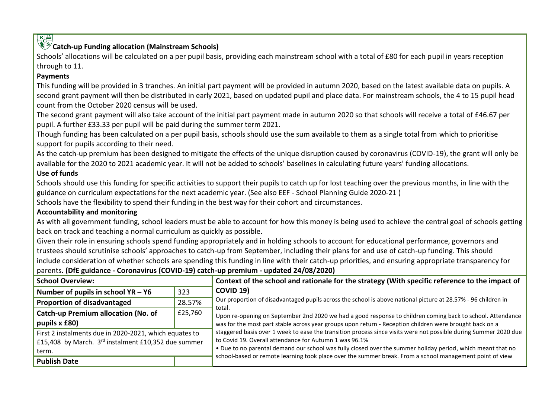# **Catch-up Funding allocation (Mainstream Schools)**

Schools' allocations will be calculated on a per pupil basis, providing each mainstream school with a total of £80 for each pupil in years reception through to 11.

# **Payments**

This funding will be provided in 3 tranches. An initial part payment will be provided in autumn 2020, based on the latest available data on pupils. A second grant payment will then be distributed in early 2021, based on updated pupil and place data. For mainstream schools, the 4 to 15 pupil head count from the October 2020 census will be used.

The second grant payment will also take account of the initial part payment made in autumn 2020 so that schools will receive a total of £46.67 per pupil. A further £33.33 per pupil will be paid during the summer term 2021.

Though funding has been calculated on a per pupil basis, schools should use the sum available to them as a single total from which to prioritise support for pupils according to their need.

As the catch-up premium has been designed to mitigate the effects of the unique disruption caused by coronavirus (COVID-19), the grant will only be available for the 2020 to 2021 academic year. It will not be added to schools' baselines in calculating future years' funding allocations.

# **Use of funds**

Schools should use this funding for specific activities to support their pupils to catch up for lost teaching over the previous months, in line with the guidance on curriculum expectations for the next academic year. (See also EEF - School Planning Guide 2020-21 )

Schools have the flexibility to spend their funding in the best way for their cohort and circumstances.

# **Accountability and monitoring**

As with all government funding, school leaders must be able to account for how this money is being used to achieve the central goal of schools getting back on track and teaching a normal curriculum as quickly as possible.

Given their role in ensuring schools spend funding appropriately and in holding schools to account for educational performance, governors and trustees should scrutinise schools' approaches to catch-up from September, including their plans for and use of catch-up funding. This should include consideration of whether schools are spending this funding in line with their catch-up priorities, and ensuring appropriate transparency for parents**. (DfE guidance - Coronavirus (COVID-19) catch-up premium - updated 24/08/2020)**

| <b>School Overview:</b>                                |         | Context of the school and rationale for the strategy (With specific reference to the impact of                          |  |  |  |
|--------------------------------------------------------|---------|-------------------------------------------------------------------------------------------------------------------------|--|--|--|
| Number of pupils in school $YA - Y6$                   | 323     | <b>COVID 19)</b>                                                                                                        |  |  |  |
| <b>Proportion of disadvantaged</b>                     | 28.57%  | Our proportion of disadvantaged pupils across the school is above national picture at 28.57% - 96 children in<br>total. |  |  |  |
| <b>Catch-up Premium allocation (No. of</b>             | £25,760 | Upon re-opening on September 2nd 2020 we had a good response to children coming back to school. Attendance              |  |  |  |
| pupils x £80)                                          |         | was for the most part stable across year groups upon return - Reception children were brought back on a                 |  |  |  |
| First 2 instalments due in 2020-2021, which equates to |         | staggered basis over 1 week to ease the transition process since visits were not possible during Summer 2020 due        |  |  |  |
| £15,408 by March. 3rd instalment £10,352 due summer    |         | to Covid 19. Overall attendance for Autumn 1 was 96.1%                                                                  |  |  |  |
| term.                                                  |         | . Due to no parental demand our school was fully closed over the summer holiday period, which meant that no             |  |  |  |
| <b>Publish Date</b>                                    |         | school-based or remote learning took place over the summer break. From a school management point of view                |  |  |  |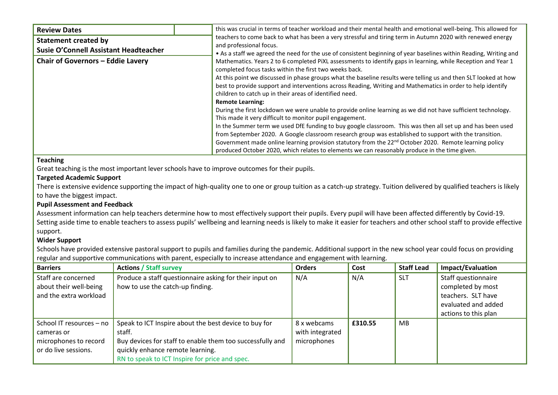| <b>Review Dates</b>                      | this was crucial in terms of teacher workload and their mental health and emotional well-being. This allowed for                                                                                                                                                                                                                                                                                                                            |  |  |  |  |  |
|------------------------------------------|---------------------------------------------------------------------------------------------------------------------------------------------------------------------------------------------------------------------------------------------------------------------------------------------------------------------------------------------------------------------------------------------------------------------------------------------|--|--|--|--|--|
| <b>Statement created by</b>              | teachers to come back to what has been a very stressful and tiring term in Autumn 2020 with renewed energy<br>and professional focus.                                                                                                                                                                                                                                                                                                       |  |  |  |  |  |
| Susie O'Connell Assistant Headteacher    | • As a staff we agreed the need for the use of consistent beginning of year baselines within Reading, Writing and<br>Mathematics. Years 2 to 6 completed PiXL assessments to identify gaps in learning, while Reception and Year 1<br>completed focus tasks within the first two weeks back.                                                                                                                                                |  |  |  |  |  |
| <b>Chair of Governors - Eddie Lavery</b> |                                                                                                                                                                                                                                                                                                                                                                                                                                             |  |  |  |  |  |
|                                          | At this point we discussed in phase groups what the baseline results were telling us and then SLT looked at how<br>best to provide support and interventions across Reading, Writing and Mathematics in order to help identify<br>children to catch up in their areas of identified need.                                                                                                                                                   |  |  |  |  |  |
|                                          | <b>Remote Learning:</b><br>During the first lockdown we were unable to provide online learning as we did not have sufficient technology.<br>This made it very difficult to monitor pupil engagement.                                                                                                                                                                                                                                        |  |  |  |  |  |
|                                          | In the Summer term we used DfE funding to buy google classroom. This was then all set up and has been used<br>from September 2020. A Google classroom research group was established to support with the transition.<br>Government made online learning provision statutory from the 22 <sup>nd</sup> October 2020. Remote learning policy<br>produced October 2020, which relates to elements we can reasonably produce in the time given. |  |  |  |  |  |

#### **Teaching**

Great teaching is the most important lever schools have to improve outcomes for their pupils.

#### **Targeted Academic Support**

There is extensive evidence supporting the impact of high-quality one to one or group tuition as a catch-up strategy. Tuition delivered by qualified teachers is likely to have the biggest impact.

## **Pupil Assessment and Feedback**

Assessment information can help teachers determine how to most effectively support their pupils. Every pupil will have been affected differently by Covid-19. Setting aside time to enable teachers to assess pupils' wellbeing and learning needs is likely to make it easier for teachers and other school staff to provide effective support.

## **Wider Support**

Schools have provided extensive pastoral support to pupils and families during the pandemic. Additional support in the new school year could focus on providing regular and supportive communications with parent, especially to increase attendance and engagement with learning.

| <b>Barriers</b>          | <b>Actions / Staff survey</b>                             | <b>Orders</b>   | Cost    | <b>Staff Lead</b> | Impact/Evaluation    |
|--------------------------|-----------------------------------------------------------|-----------------|---------|-------------------|----------------------|
| Staff are concerned      | Produce a staff questionnaire asking for their input on   | N/A             | N/A     | <b>SLT</b>        | Staff questionnaire  |
| about their well-being   | how to use the catch-up finding.                          |                 |         |                   | completed by most    |
| and the extra workload   |                                                           |                 |         |                   | teachers. SLT have   |
|                          |                                                           |                 |         |                   | evaluated and added  |
|                          |                                                           |                 |         |                   | actions to this plan |
| School IT resources - no | Speak to ICT Inspire about the best device to buy for     | 8 x webcams     | £310.55 | MB                |                      |
| cameras or               | staff.                                                    | with integrated |         |                   |                      |
| microphones to record    | Buy devices for staff to enable them too successfully and | microphones     |         |                   |                      |
| or do live sessions.     | quickly enhance remote learning.                          |                 |         |                   |                      |
|                          | RN to speak to ICT Inspire for price and spec.            |                 |         |                   |                      |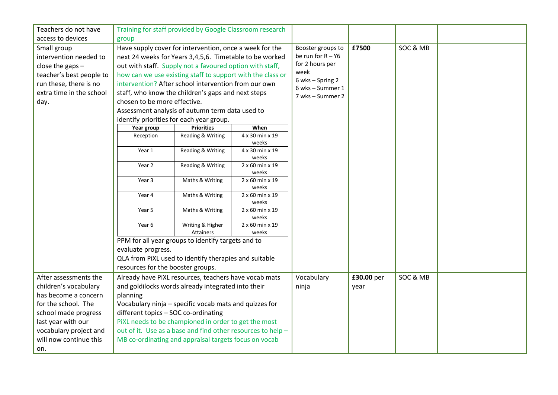| Teachers do not have     |                                          | Training for staff provided by Google Classroom research    |                               |                                      |            |          |  |
|--------------------------|------------------------------------------|-------------------------------------------------------------|-------------------------------|--------------------------------------|------------|----------|--|
| access to devices        | group                                    |                                                             |                               |                                      |            |          |  |
| Small group              |                                          | Have supply cover for intervention, once a week for the     | Booster groups to             | £7500                                | SOC & MB   |          |  |
| intervention needed to   |                                          | next 24 weeks for Years 3,4,5,6. Timetable to be worked     | be run for $R - Y6$           |                                      |            |          |  |
| close the gaps $-$       |                                          | out with staff. Supply not a favoured option with staff,    |                               | for 2 hours per                      |            |          |  |
| teacher's best people to |                                          | how can we use existing staff to support with the class or  |                               | week                                 |            |          |  |
| run these, there is no   |                                          | intervention? After school intervention from our own        |                               | 6 wks - Spring 2<br>6 wks - Summer 1 |            |          |  |
| extra time in the school |                                          | staff, who know the children's gaps and next steps          | 7 wks - Summer 2              |                                      |            |          |  |
| day.                     | chosen to be more effective.             |                                                             |                               |                                      |            |          |  |
|                          |                                          | Assessment analysis of autumn term data used to             |                               |                                      |            |          |  |
|                          | identify priorities for each year group. |                                                             |                               |                                      |            |          |  |
|                          | Year group                               | <b>Priorities</b>                                           | When                          |                                      |            |          |  |
|                          | Reception                                | Reading & Writing                                           | 4 x 30 min x 19               |                                      |            |          |  |
|                          |                                          | Reading & Writing                                           | weeks                         |                                      |            |          |  |
|                          | Year 1                                   |                                                             | 4 x 30 min x 19<br>weeks      |                                      |            |          |  |
|                          | Year 2                                   | Reading & Writing                                           | 2 x 60 min x 19               |                                      |            |          |  |
|                          |                                          |                                                             | weeks                         |                                      |            |          |  |
|                          | Year 3                                   | Maths & Writing                                             | $2 \times 60$ min $\times 19$ |                                      |            |          |  |
|                          |                                          |                                                             | weeks                         |                                      |            |          |  |
|                          | Year 4                                   | Maths & Writing                                             | 2 x 60 min x 19<br>weeks      |                                      |            |          |  |
|                          | Year 5                                   | Maths & Writing                                             | 2 x 60 min x 19               |                                      |            |          |  |
|                          |                                          |                                                             | weeks                         |                                      |            |          |  |
|                          | Year 6                                   | Writing & Higher                                            | $2 \times 60$ min $\times 19$ |                                      |            |          |  |
|                          |                                          | Attainers                                                   | weeks                         |                                      |            |          |  |
|                          |                                          | PPM for all year groups to identify targets and to          |                               |                                      |            |          |  |
|                          | evaluate progress.                       |                                                             |                               |                                      |            |          |  |
|                          |                                          | QLA from PiXL used to identify therapies and suitable       |                               |                                      |            |          |  |
|                          | resources for the booster groups.        |                                                             |                               |                                      |            |          |  |
| After assessments the    |                                          | Already have PiXL resources, teachers have vocab mats       |                               | Vocabulary                           | £30.00 per | SOC & MB |  |
| children's vocabulary    |                                          | and goldilocks words already integrated into their          |                               | ninja                                | year       |          |  |
| has become a concern     | planning                                 |                                                             |                               |                                      |            |          |  |
| for the school. The      |                                          | Vocabulary ninja - specific vocab mats and quizzes for      |                               |                                      |            |          |  |
| school made progress     | different topics - SOC co-ordinating     |                                                             |                               |                                      |            |          |  |
| last year with our       |                                          | PiXL needs to be championed in order to get the most        |                               |                                      |            |          |  |
| vocabulary project and   |                                          | out of it. Use as a base and find other resources to help - |                               |                                      |            |          |  |
| will now continue this   |                                          | MB co-ordinating and appraisal targets focus on vocab       |                               |                                      |            |          |  |
| on.                      |                                          |                                                             |                               |                                      |            |          |  |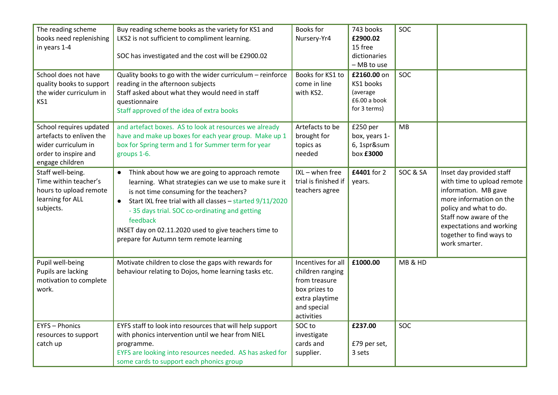| The reading scheme<br>books need replenishing<br>in years 1-4<br>School does not have<br>quality books to support     | Buy reading scheme books as the variety for KS1 and<br>LKS2 is not sufficient to compliment learning.<br>SOC has investigated and the cost will be £2900.02<br>Quality books to go with the wider curriculum - reinforce<br>reading in the afternoon subjects                                                                                                                                               | <b>Books for</b><br>Nursery-Yr4<br>Books for KS1 to<br>come in line                                                     | 743 books<br>£2900.02<br>15 free<br>dictionaries<br>- MB to use<br>£2160.00 on<br>KS1 books | SOC<br>SOC |                                                                                                                                                                                                                                        |
|-----------------------------------------------------------------------------------------------------------------------|-------------------------------------------------------------------------------------------------------------------------------------------------------------------------------------------------------------------------------------------------------------------------------------------------------------------------------------------------------------------------------------------------------------|-------------------------------------------------------------------------------------------------------------------------|---------------------------------------------------------------------------------------------|------------|----------------------------------------------------------------------------------------------------------------------------------------------------------------------------------------------------------------------------------------|
| the wider curriculum in<br>KS1                                                                                        | Staff asked about what they would need in staff<br>questionnaire<br>Staff approved of the idea of extra books                                                                                                                                                                                                                                                                                               | with KS2.                                                                                                               | (average<br>£6.00 a book<br>for 3 terms)                                                    |            |                                                                                                                                                                                                                                        |
| School requires updated<br>artefacts to enliven the<br>wider curriculum in<br>order to inspire and<br>engage children | and artefact boxes. AS to look at resources we already<br>have and make up boxes for each year group. Make up 1<br>box for Spring term and 1 for Summer term for year<br>groups 1-6.                                                                                                                                                                                                                        | Artefacts to be<br>brought for<br>topics as<br>needed                                                                   | £250 per<br>box, years 1-<br>6, 1spr∑<br>box £3000                                          | MB         |                                                                                                                                                                                                                                        |
| Staff well-being.<br>Time within teacher's<br>hours to upload remote<br>learning for ALL<br>subjects.                 | Think about how we are going to approach remote<br>$\bullet$<br>learning. What strategies can we use to make sure it<br>is not time consuming for the teachers?<br>Start IXL free trial with all classes - started 9/11/2020<br>$\bullet$<br>- 35 days trial. SOC co-ordinating and getting<br>feedback<br>INSET day on 02.11.2020 used to give teachers time to<br>prepare for Autumn term remote learning | IXL - when free<br>trial is finished if<br>teachers agree                                                               | £4401 for 2<br>vears.                                                                       | SOC & SA   | Inset day provided staff<br>with time to upload remote<br>information. MB gave<br>more information on the<br>policy and what to do.<br>Staff now aware of the<br>expectations and working<br>together to find ways to<br>work smarter. |
| Pupil well-being<br>Pupils are lacking<br>motivation to complete<br>work.                                             | Motivate children to close the gaps with rewards for<br>behaviour relating to Dojos, home learning tasks etc.                                                                                                                                                                                                                                                                                               | Incentives for all<br>children ranging<br>from treasure<br>box prizes to<br>extra playtime<br>and special<br>activities | £1000.00                                                                                    | MB & HD    |                                                                                                                                                                                                                                        |
| <b>EYFS - Phonics</b><br>resources to support<br>catch up                                                             | EYFS staff to look into resources that will help support<br>with phonics intervention until we hear from NIEL<br>programme.<br>EYFS are looking into resources needed. AS has asked for<br>some cards to support each phonics group                                                                                                                                                                         | SOC to<br>investigate<br>cards and<br>supplier.                                                                         | £237.00<br>£79 per set,<br>3 sets                                                           | SOC        |                                                                                                                                                                                                                                        |